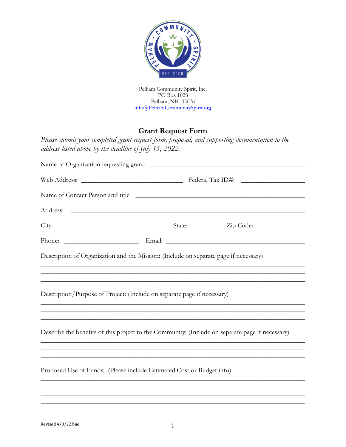

Pelham Community Spirit, Inc. PO Box 1028 Pelham, NH 03076 [info@PelhamCommunitySpirit.org](mailto:info@PelhamCommunitySpirit.org)

## **Grant Request Form**

*Please submit your completed grant request form, proposal, and supporting documentation to the address listed above by the deadline of July 15, 2022.* 

| Description of Organization and the Mission: (Include on separate page if necessary)                                                                                   |
|------------------------------------------------------------------------------------------------------------------------------------------------------------------------|
| ,我们也不能在这里的人,我们也不能在这里的人,我们也不能在这里的人,我们也不能在这里的人,我们也不能在这里的人,我们也不能在这里的人,我们也不能在这里的人,我们也<br>,我们也不能在这里的人,我们也不能在这里的人,我们也不能在这里的人,我们也不能在这里的人,我们也不能在这里的人,我们也不能在这里的人,我们也不能在这里的人,我们也 |
| Description/Purpose of Project: (Include on separate page if necessary)                                                                                                |
|                                                                                                                                                                        |
| Describe the benefits of this project to the Community: (Include on separate page if necessary)                                                                        |
|                                                                                                                                                                        |
| Proposed Use of Funds: (Please include Estimated Cost or Budget info)                                                                                                  |
|                                                                                                                                                                        |

\_\_\_\_\_\_\_\_\_\_\_\_\_\_\_\_\_\_\_\_\_\_\_\_\_\_\_\_\_\_\_\_\_\_\_\_\_\_\_\_\_\_\_\_\_\_\_\_\_\_\_\_\_\_\_\_\_\_\_\_\_\_\_\_\_\_\_\_\_\_\_\_\_\_\_\_\_\_ \_\_\_\_\_\_\_\_\_\_\_\_\_\_\_\_\_\_\_\_\_\_\_\_\_\_\_\_\_\_\_\_\_\_\_\_\_\_\_\_\_\_\_\_\_\_\_\_\_\_\_\_\_\_\_\_\_\_\_\_\_\_\_\_\_\_\_\_\_\_\_\_\_\_\_\_\_\_